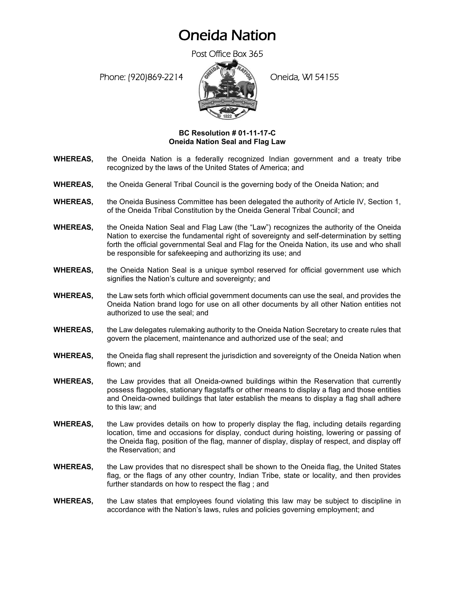## Oneida Nation

Post Office Box 365

Phone: (920)869-2214 (8 April 2) Oneida, WI 54155



## **BC Resolution # 01-11-17-C Oneida Nation Seal and Flag Law**

- **WHEREAS,** the Oneida Nation is a federally recognized Indian government and a treaty tribe recognized by the laws of the United States of America; and
- **WHEREAS,** the Oneida General Tribal Council is the governing body of the Oneida Nation; and
- **WHEREAS,** the Oneida Business Committee has been delegated the authority of Article IV, Section 1, of the Oneida Tribal Constitution by the Oneida General Tribal Council; and
- **WHEREAS,** the Oneida Nation Seal and Flag Law (the "Law") recognizes the authority of the Oneida Nation to exercise the fundamental right of sovereignty and self-determination by setting forth the official governmental Seal and Flag for the Oneida Nation, its use and who shall be responsible for safekeeping and authorizing its use; and
- **WHEREAS,** the Oneida Nation Seal is a unique symbol reserved for official government use which signifies the Nation's culture and sovereignty; and
- **WHEREAS,** the Law sets forth which official government documents can use the seal, and provides the Oneida Nation brand logo for use on all other documents by all other Nation entities not authorized to use the seal; and
- **WHEREAS,** the Law delegates rulemaking authority to the Oneida Nation Secretary to create rules that govern the placement, maintenance and authorized use of the seal; and
- **WHEREAS,** the Oneida flag shall represent the jurisdiction and sovereignty of the Oneida Nation when flown; and
- **WHEREAS,** the Law provides that all Oneida-owned buildings within the Reservation that currently possess flagpoles, stationary flagstaffs or other means to display a flag and those entities and Oneida-owned buildings that later establish the means to display a flag shall adhere to this law; and
- **WHEREAS,** the Law provides details on how to properly display the flag, including details regarding location, time and occasions for display, conduct during hoisting, lowering or passing of the Oneida flag, position of the flag, manner of display, display of respect, and display off the Reservation; and
- **WHEREAS,** the Law provides that no disrespect shall be shown to the Oneida flag, the United States flag, or the flags of any other country, Indian Tribe, state or locality, and then provides further standards on how to respect the flag ; and
- **WHEREAS,** the Law states that employees found violating this law may be subject to discipline in accordance with the Nation's laws, rules and policies governing employment; and